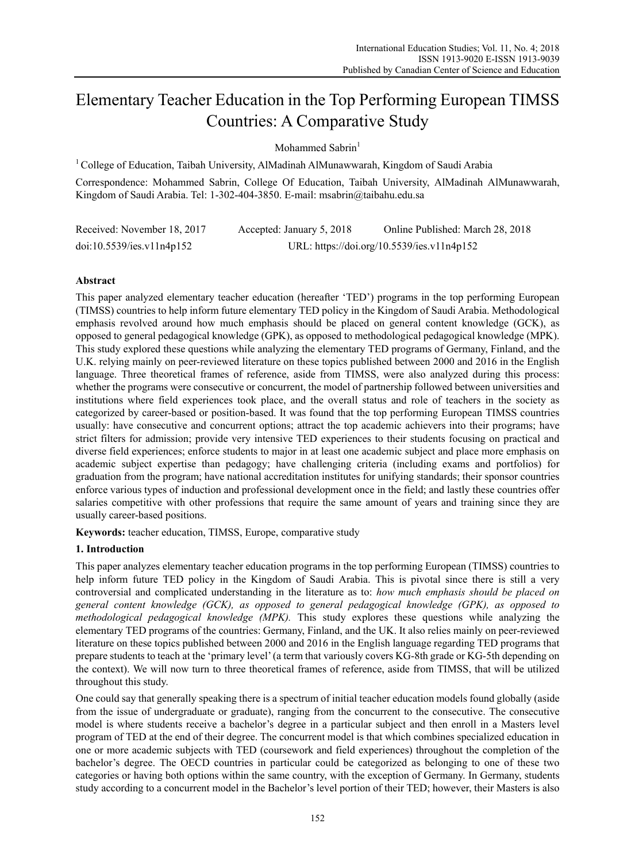# Elementary Teacher Education in the Top Performing European TIMSS Countries: A Comparative Study

Mohammed Sabrin<sup>1</sup>

1 College of Education, Taibah University, AlMadinah AlMunawwarah, Kingdom of Saudi Arabia

Correspondence: Mohammed Sabrin, College Of Education, Taibah University, AlMadinah AlMunawwarah, Kingdom of Saudi Arabia. Tel: 1-302-404-3850. E-mail: msabrin@taibahu.edu.sa

| Received: November 18, 2017 | Accepted: January 5, 2018 | Online Published: March 28, 2018           |
|-----------------------------|---------------------------|--------------------------------------------|
| doi:10.5539/ies.v11n4p152   |                           | URL: https://doi.org/10.5539/ies.v11n4p152 |

# **Abstract**

This paper analyzed elementary teacher education (hereafter 'TED') programs in the top performing European (TIMSS) countries to help inform future elementary TED policy in the Kingdom of Saudi Arabia. Methodological emphasis revolved around how much emphasis should be placed on general content knowledge (GCK), as opposed to general pedagogical knowledge (GPK), as opposed to methodological pedagogical knowledge (MPK). This study explored these questions while analyzing the elementary TED programs of Germany, Finland, and the U.K. relying mainly on peer-reviewed literature on these topics published between 2000 and 2016 in the English language. Three theoretical frames of reference, aside from TIMSS, were also analyzed during this process: whether the programs were consecutive or concurrent, the model of partnership followed between universities and institutions where field experiences took place, and the overall status and role of teachers in the society as categorized by career-based or position-based. It was found that the top performing European TIMSS countries usually: have consecutive and concurrent options; attract the top academic achievers into their programs; have strict filters for admission; provide very intensive TED experiences to their students focusing on practical and diverse field experiences; enforce students to major in at least one academic subject and place more emphasis on academic subject expertise than pedagogy; have challenging criteria (including exams and portfolios) for graduation from the program; have national accreditation institutes for unifying standards; their sponsor countries enforce various types of induction and professional development once in the field; and lastly these countries offer salaries competitive with other professions that require the same amount of years and training since they are usually career-based positions.

**Keywords:** teacher education, TIMSS, Europe, comparative study

# **1. Introduction**

This paper analyzes elementary teacher education programs in the top performing European (TIMSS) countries to help inform future TED policy in the Kingdom of Saudi Arabia. This is pivotal since there is still a very controversial and complicated understanding in the literature as to: *how much emphasis should be placed on general content knowledge (GCK), as opposed to general pedagogical knowledge (GPK), as opposed to methodological pedagogical knowledge (MPK).* This study explores these questions while analyzing the elementary TED programs of the countries: Germany, Finland, and the UK. It also relies mainly on peer-reviewed literature on these topics published between 2000 and 2016 in the English language regarding TED programs that prepare students to teach at the 'primary level' (a term that variously covers KG-8th grade or KG-5th depending on the context). We will now turn to three theoretical frames of reference, aside from TIMSS, that will be utilized throughout this study.

One could say that generally speaking there is a spectrum of initial teacher education models found globally (aside from the issue of undergraduate or graduate), ranging from the concurrent to the consecutive. The consecutive model is where students receive a bachelor's degree in a particular subject and then enroll in a Masters level program of TED at the end of their degree. The concurrent model is that which combines specialized education in one or more academic subjects with TED (coursework and field experiences) throughout the completion of the bachelor's degree. The OECD countries in particular could be categorized as belonging to one of these two categories or having both options within the same country, with the exception of Germany. In Germany, students study according to a concurrent model in the Bachelor's level portion of their TED; however, their Masters is also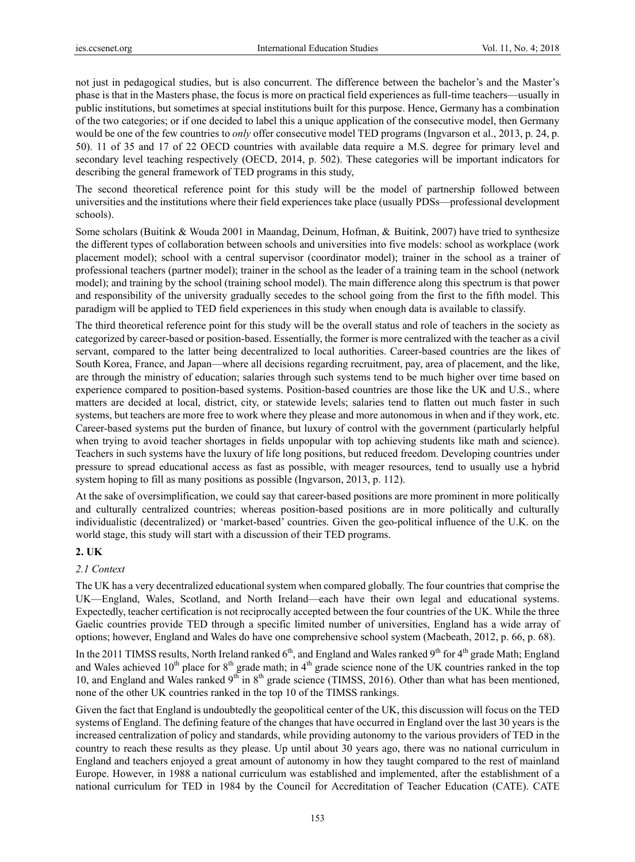not just in pedagogical studies, but is also concurrent. The difference between the bachelor's and the Master's phase is that in the Masters phase, the focus is more on practical field experiences as full-time teachers—usually in public institutions, but sometimes at special institutions built for this purpose. Hence, Germany has a combination of the two categories; or if one decided to label this a unique application of the consecutive model, then Germany would be one of the few countries to *only* offer consecutive model TED programs (Ingvarson et al., 2013, p. 24, p. 50). 11 of 35 and 17 of 22 OECD countries with available data require a M.S. degree for primary level and secondary level teaching respectively (OECD, 2014, p. 502). These categories will be important indicators for describing the general framework of TED programs in this study,

The second theoretical reference point for this study will be the model of partnership followed between universities and the institutions where their field experiences take place (usually PDSs—professional development schools).

Some scholars (Buitink & Wouda 2001 in Maandag, Deinum, Hofman, & Buitink, 2007) have tried to synthesize the different types of collaboration between schools and universities into five models: school as workplace (work placement model); school with a central supervisor (coordinator model); trainer in the school as a trainer of professional teachers (partner model); trainer in the school as the leader of a training team in the school (network model); and training by the school (training school model). The main difference along this spectrum is that power and responsibility of the university gradually secedes to the school going from the first to the fifth model. This paradigm will be applied to TED field experiences in this study when enough data is available to classify.

The third theoretical reference point for this study will be the overall status and role of teachers in the society as categorized by career-based or position-based. Essentially, the former is more centralized with the teacher as a civil servant, compared to the latter being decentralized to local authorities. Career-based countries are the likes of South Korea, France, and Japan—where all decisions regarding recruitment, pay, area of placement, and the like, are through the ministry of education; salaries through such systems tend to be much higher over time based on experience compared to position-based systems. Position-based countries are those like the UK and U.S., where matters are decided at local, district, city, or statewide levels; salaries tend to flatten out much faster in such systems, but teachers are more free to work where they please and more autonomous in when and if they work, etc. Career-based systems put the burden of finance, but luxury of control with the government (particularly helpful when trying to avoid teacher shortages in fields unpopular with top achieving students like math and science). Teachers in such systems have the luxury of life long positions, but reduced freedom. Developing countries under pressure to spread educational access as fast as possible, with meager resources, tend to usually use a hybrid system hoping to fill as many positions as possible (Ingvarson, 2013, p. 112).

At the sake of oversimplification, we could say that career-based positions are more prominent in more politically and culturally centralized countries; whereas position-based positions are in more politically and culturally individualistic (decentralized) or 'market-based' countries. Given the geo-political influence of the U.K. on the world stage, this study will start with a discussion of their TED programs.

#### **2. UK**

#### *2.1 Context*

The UK has a very decentralized educational system when compared globally. The four countries that comprise the UK—England, Wales, Scotland, and North Ireland—each have their own legal and educational systems. Expectedly, teacher certification is not reciprocally accepted between the four countries of the UK. While the three Gaelic countries provide TED through a specific limited number of universities, England has a wide array of options; however, England and Wales do have one comprehensive school system (Macbeath, 2012, p. 66, p. 68).

In the 2011 TIMSS results, North Ireland ranked  $6<sup>th</sup>$ , and England and Wales ranked  $9<sup>th</sup>$  for  $4<sup>th</sup>$  grade Math; England and Wales achieved 10<sup>th</sup> place for  $8<sup>th</sup>$  grade math; in 4<sup>th</sup> grade science none of the UK countries ranked in the top 10, and England and Wales ranked 9<sup>th</sup> in 8<sup>th</sup> grade science (TIMSS, 2016). Other than what has been mentioned, none of the other UK countries ranked in the top 10 of the TIMSS rankings.

Given the fact that England is undoubtedly the geopolitical center of the UK, this discussion will focus on the TED systems of England. The defining feature of the changes that have occurred in England over the last 30 years is the increased centralization of policy and standards, while providing autonomy to the various providers of TED in the country to reach these results as they please. Up until about 30 years ago, there was no national curriculum in England and teachers enjoyed a great amount of autonomy in how they taught compared to the rest of mainland Europe. However, in 1988 a national curriculum was established and implemented, after the establishment of a national curriculum for TED in 1984 by the Council for Accreditation of Teacher Education (CATE). CATE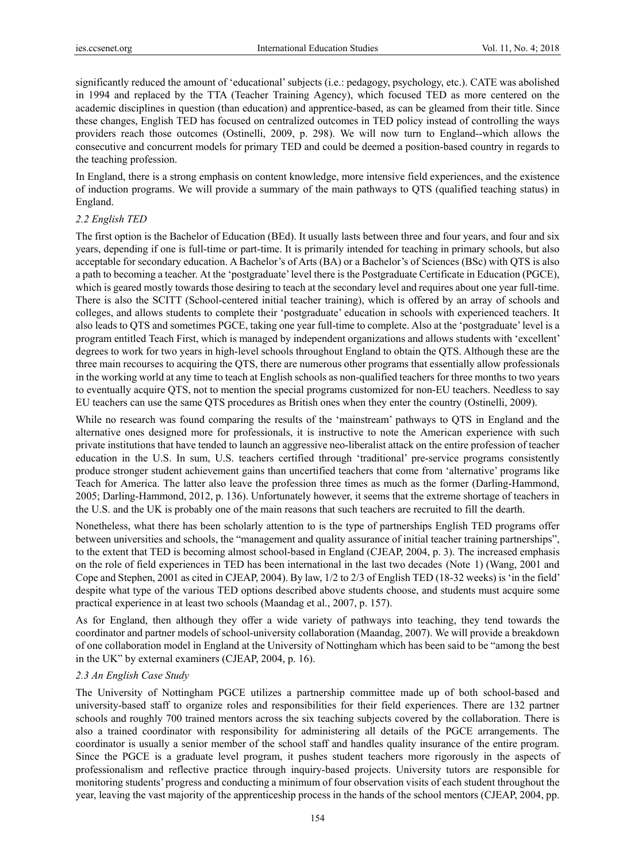significantly reduced the amount of 'educational' subjects (i.e.: pedagogy, psychology, etc.). CATE was abolished in 1994 and replaced by the TTA (Teacher Training Agency), which focused TED as more centered on the academic disciplines in question (than education) and apprentice-based, as can be gleamed from their title. Since these changes, English TED has focused on centralized outcomes in TED policy instead of controlling the ways providers reach those outcomes (Ostinelli, 2009, p. 298). We will now turn to England--which allows the consecutive and concurrent models for primary TED and could be deemed a position-based country in regards to the teaching profession.

In England, there is a strong emphasis on content knowledge, more intensive field experiences, and the existence of induction programs. We will provide a summary of the main pathways to QTS (qualified teaching status) in England.

## *2.2 English TED*

The first option is the Bachelor of Education (BEd). It usually lasts between three and four years, and four and six years, depending if one is full-time or part-time. It is primarily intended for teaching in primary schools, but also acceptable for secondary education. A Bachelor's of Arts (BA) or a Bachelor's of Sciences (BSc) with QTS is also a path to becoming a teacher. At the 'postgraduate' level there is the Postgraduate Certificate in Education (PGCE), which is geared mostly towards those desiring to teach at the secondary level and requires about one year full-time. There is also the SCITT (School-centered initial teacher training), which is offered by an array of schools and colleges, and allows students to complete their 'postgraduate' education in schools with experienced teachers. It also leads to QTS and sometimes PGCE, taking one year full-time to complete. Also at the 'postgraduate' level is a program entitled Teach First, which is managed by independent organizations and allows students with 'excellent' degrees to work for two years in high-level schools throughout England to obtain the QTS. Although these are the three main recourses to acquiring the QTS, there are numerous other programs that essentially allow professionals in the working world at any time to teach at English schools as non-qualified teachers for three months to two years to eventually acquire QTS, not to mention the special programs customized for non-EU teachers. Needless to say EU teachers can use the same QTS procedures as British ones when they enter the country (Ostinelli, 2009).

While no research was found comparing the results of the 'mainstream' pathways to QTS in England and the alternative ones designed more for professionals, it is instructive to note the American experience with such private institutions that have tended to launch an aggressive neo-liberalist attack on the entire profession of teacher education in the U.S. In sum, U.S. teachers certified through 'traditional' pre-service programs consistently produce stronger student achievement gains than uncertified teachers that come from 'alternative' programs like Teach for America. The latter also leave the profession three times as much as the former (Darling-Hammond, 2005; Darling-Hammond, 2012, p. 136). Unfortunately however, it seems that the extreme shortage of teachers in the U.S. and the UK is probably one of the main reasons that such teachers are recruited to fill the dearth.

Nonetheless, what there has been scholarly attention to is the type of partnerships English TED programs offer between universities and schools, the "management and quality assurance of initial teacher training partnerships", to the extent that TED is becoming almost school-based in England (CJEAP, 2004, p. 3). The increased emphasis on the role of field experiences in TED has been international in the last two decades (Note 1) (Wang, 2001 and Cope and Stephen, 2001 as cited in CJEAP, 2004). By law, 1/2 to 2/3 of English TED (18-32 weeks) is 'in the field' despite what type of the various TED options described above students choose, and students must acquire some practical experience in at least two schools (Maandag et al., 2007, p. 157).

As for England, then although they offer a wide variety of pathways into teaching, they tend towards the coordinator and partner models of school-university collaboration (Maandag, 2007). We will provide a breakdown of one collaboration model in England at the University of Nottingham which has been said to be "among the best in the UK" by external examiners (CJEAP, 2004, p. 16).

### *2.3 An English Case Study*

The University of Nottingham PGCE utilizes a partnership committee made up of both school-based and university-based staff to organize roles and responsibilities for their field experiences. There are 132 partner schools and roughly 700 trained mentors across the six teaching subjects covered by the collaboration. There is also a trained coordinator with responsibility for administering all details of the PGCE arrangements. The coordinator is usually a senior member of the school staff and handles quality insurance of the entire program. Since the PGCE is a graduate level program, it pushes student teachers more rigorously in the aspects of professionalism and reflective practice through inquiry-based projects. University tutors are responsible for monitoring students' progress and conducting a minimum of four observation visits of each student throughout the year, leaving the vast majority of the apprenticeship process in the hands of the school mentors (CJEAP, 2004, pp.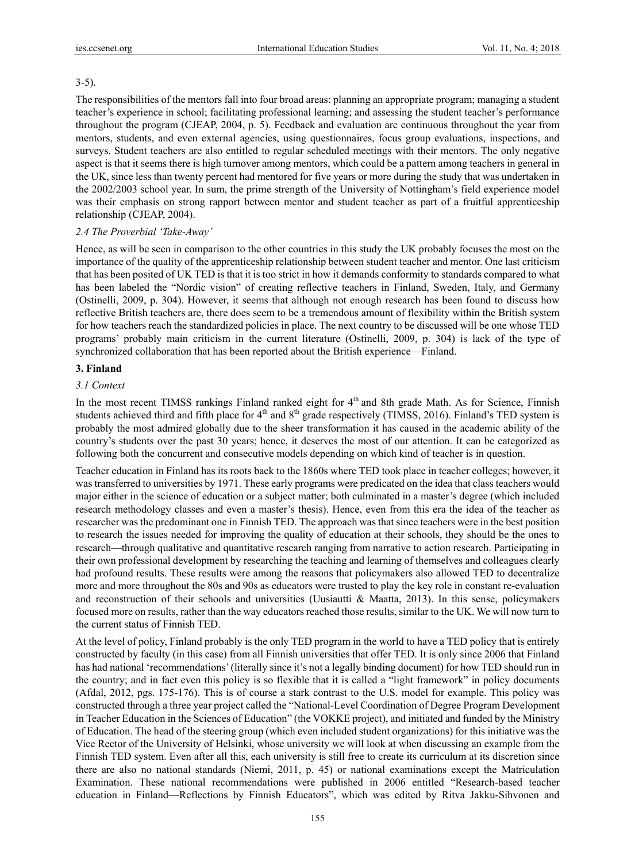### 3-5).

The responsibilities of the mentors fall into four broad areas: planning an appropriate program; managing a student teacher's experience in school; facilitating professional learning; and assessing the student teacher's performance throughout the program (CJEAP, 2004, p. 5). Feedback and evaluation are continuous throughout the year from mentors, students, and even external agencies, using questionnaires, focus group evaluations, inspections, and surveys. Student teachers are also entitled to regular scheduled meetings with their mentors. The only negative aspect is that it seems there is high turnover among mentors, which could be a pattern among teachers in general in the UK, since less than twenty percent had mentored for five years or more during the study that was undertaken in the 2002/2003 school year. In sum, the prime strength of the University of Nottingham's field experience model was their emphasis on strong rapport between mentor and student teacher as part of a fruitful apprenticeship relationship (CJEAP, 2004).

## *2.4 The Proverbial 'Take-Away'*

Hence, as will be seen in comparison to the other countries in this study the UK probably focuses the most on the importance of the quality of the apprenticeship relationship between student teacher and mentor. One last criticism that has been posited of UK TED is that it is too strict in how it demands conformity to standards compared to what has been labeled the "Nordic vision" of creating reflective teachers in Finland, Sweden, Italy, and Germany (Ostinelli, 2009, p. 304). However, it seems that although not enough research has been found to discuss how reflective British teachers are, there does seem to be a tremendous amount of flexibility within the British system for how teachers reach the standardized policies in place. The next country to be discussed will be one whose TED programs' probably main criticism in the current literature (Ostinelli, 2009, p. 304) is lack of the type of synchronized collaboration that has been reported about the British experience—Finland.

### **3. Finland**

### *3.1 Context*

In the most recent TIMSS rankings Finland ranked eight for 4<sup>th</sup> and 8th grade Math. As for Science, Finnish students achieved third and fifth place for  $4<sup>th</sup>$  and  $8<sup>th</sup>$  grade respectively (TIMSS, 2016). Finland's TED system is probably the most admired globally due to the sheer transformation it has caused in the academic ability of the country's students over the past 30 years; hence, it deserves the most of our attention. It can be categorized as following both the concurrent and consecutive models depending on which kind of teacher is in question.

Teacher education in Finland has its roots back to the 1860s where TED took place in teacher colleges; however, it was transferred to universities by 1971. These early programs were predicated on the idea that class teachers would major either in the science of education or a subject matter; both culminated in a master's degree (which included research methodology classes and even a master's thesis). Hence, even from this era the idea of the teacher as researcher was the predominant one in Finnish TED. The approach was that since teachers were in the best position to research the issues needed for improving the quality of education at their schools, they should be the ones to research—through qualitative and quantitative research ranging from narrative to action research. Participating in their own professional development by researching the teaching and learning of themselves and colleagues clearly had profound results. These results were among the reasons that policymakers also allowed TED to decentralize more and more throughout the 80s and 90s as educators were trusted to play the key role in constant re-evaluation and reconstruction of their schools and universities (Uusiautti & Maatta, 2013). In this sense, policymakers focused more on results, rather than the way educators reached those results, similar to the UK. We will now turn to the current status of Finnish TED.

At the level of policy, Finland probably is the only TED program in the world to have a TED policy that is entirely constructed by faculty (in this case) from all Finnish universities that offer TED. It is only since 2006 that Finland has had national 'recommendations' (literally since it's not a legally binding document) for how TED should run in the country; and in fact even this policy is so flexible that it is called a "light framework" in policy documents (Afdal, 2012, pgs. 175-176). This is of course a stark contrast to the U.S. model for example. This policy was constructed through a three year project called the "National-Level Coordination of Degree Program Development in Teacher Education in the Sciences of Education" (the VOKKE project), and initiated and funded by the Ministry of Education. The head of the steering group (which even included student organizations) for this initiative was the Vice Rector of the University of Helsinki, whose university we will look at when discussing an example from the Finnish TED system. Even after all this, each university is still free to create its curriculum at its discretion since there are also no national standards (Niemi, 2011, p. 45) or national examinations except the Matriculation Examination. These national recommendations were published in 2006 entitled "Research-based teacher education in Finland—Reflections by Finnish Educators", which was edited by Ritva Jakku-Sihvonen and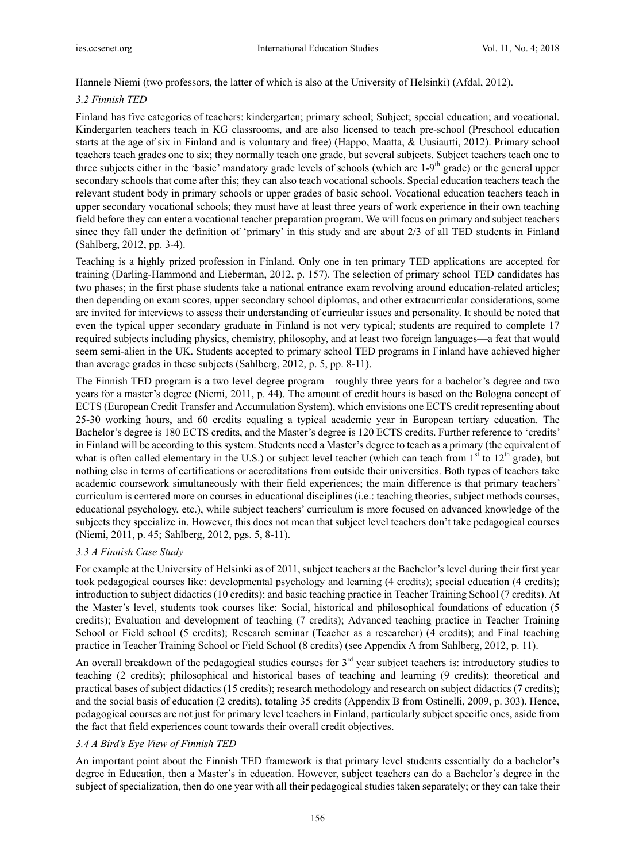Hannele Niemi (two professors, the latter of which is also at the University of Helsinki) (Afdal, 2012).

### *3.2 Finnish TED*

Finland has five categories of teachers: kindergarten; primary school; Subject; special education; and vocational. Kindergarten teachers teach in KG classrooms, and are also licensed to teach pre-school (Preschool education starts at the age of six in Finland and is voluntary and free) (Happo, Maatta, & Uusiautti, 2012). Primary school teachers teach grades one to six; they normally teach one grade, but several subjects. Subject teachers teach one to three subjects either in the 'basic' mandatory grade levels of schools (which are  $1-9<sup>th</sup>$  grade) or the general upper secondary schools that come after this; they can also teach vocational schools. Special education teachers teach the relevant student body in primary schools or upper grades of basic school. Vocational education teachers teach in upper secondary vocational schools; they must have at least three years of work experience in their own teaching field before they can enter a vocational teacher preparation program. We will focus on primary and subject teachers since they fall under the definition of 'primary' in this study and are about 2/3 of all TED students in Finland (Sahlberg, 2012, pp. 3-4).

Teaching is a highly prized profession in Finland. Only one in ten primary TED applications are accepted for training (Darling-Hammond and Lieberman, 2012, p. 157). The selection of primary school TED candidates has two phases; in the first phase students take a national entrance exam revolving around education-related articles; then depending on exam scores, upper secondary school diplomas, and other extracurricular considerations, some are invited for interviews to assess their understanding of curricular issues and personality. It should be noted that even the typical upper secondary graduate in Finland is not very typical; students are required to complete 17 required subjects including physics, chemistry, philosophy, and at least two foreign languages—a feat that would seem semi-alien in the UK. Students accepted to primary school TED programs in Finland have achieved higher than average grades in these subjects (Sahlberg, 2012, p. 5, pp. 8-11).

The Finnish TED program is a two level degree program—roughly three years for a bachelor's degree and two years for a master's degree (Niemi, 2011, p. 44). The amount of credit hours is based on the Bologna concept of ECTS (European Credit Transfer and Accumulation System), which envisions one ECTS credit representing about 25-30 working hours, and 60 credits equaling a typical academic year in European tertiary education. The Bachelor's degree is 180 ECTS credits, and the Master's degree is 120 ECTS credits. Further reference to 'credits' in Finland will be according to this system. Students need a Master's degree to teach as a primary (the equivalent of what is often called elementary in the U.S.) or subject level teacher (which can teach from  $1<sup>st</sup>$  to  $12<sup>th</sup>$  grade), but nothing else in terms of certifications or accreditations from outside their universities. Both types of teachers take academic coursework simultaneously with their field experiences; the main difference is that primary teachers' curriculum is centered more on courses in educational disciplines (i.e.: teaching theories, subject methods courses, educational psychology, etc.), while subject teachers' curriculum is more focused on advanced knowledge of the subjects they specialize in. However, this does not mean that subject level teachers don't take pedagogical courses (Niemi, 2011, p. 45; Sahlberg, 2012, pgs. 5, 8-11).

## *3.3 A Finnish Case Study*

For example at the University of Helsinki as of 2011, subject teachers at the Bachelor's level during their first year took pedagogical courses like: developmental psychology and learning (4 credits); special education (4 credits); introduction to subject didactics (10 credits); and basic teaching practice in Teacher Training School (7 credits). At the Master's level, students took courses like: Social, historical and philosophical foundations of education (5 credits); Evaluation and development of teaching (7 credits); Advanced teaching practice in Teacher Training School or Field school (5 credits); Research seminar (Teacher as a researcher) (4 credits); and Final teaching practice in Teacher Training School or Field School (8 credits) (see Appendix A from Sahlberg, 2012, p. 11).

An overall breakdown of the pedagogical studies courses for  $3<sup>rd</sup>$  year subject teachers is: introductory studies to teaching (2 credits); philosophical and historical bases of teaching and learning (9 credits); theoretical and practical bases of subject didactics (15 credits); research methodology and research on subject didactics (7 credits); and the social basis of education (2 credits), totaling 35 credits (Appendix B from Ostinelli, 2009, p. 303). Hence, pedagogical courses are not just for primary level teachers in Finland, particularly subject specific ones, aside from the fact that field experiences count towards their overall credit objectives.

## *3.4 A Bird's Eye View of Finnish TED*

An important point about the Finnish TED framework is that primary level students essentially do a bachelor's degree in Education, then a Master's in education. However, subject teachers can do a Bachelor's degree in the subject of specialization, then do one year with all their pedagogical studies taken separately; or they can take their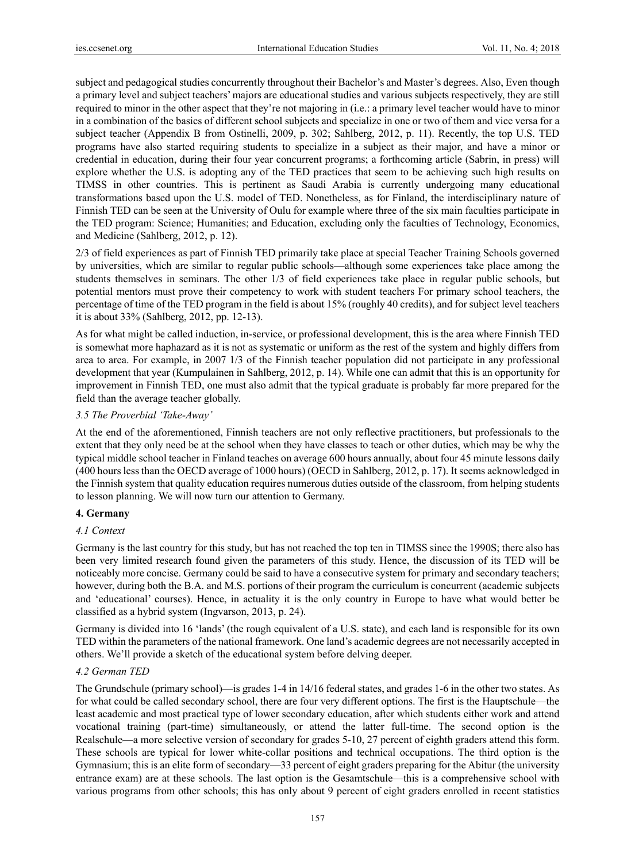subject and pedagogical studies concurrently throughout their Bachelor's and Master's degrees. Also, Even though a primary level and subject teachers' majors are educational studies and various subjects respectively, they are still required to minor in the other aspect that they're not majoring in (i.e.: a primary level teacher would have to minor in a combination of the basics of different school subjects and specialize in one or two of them and vice versa for a subject teacher (Appendix B from Ostinelli, 2009, p. 302; Sahlberg, 2012, p. 11). Recently, the top U.S. TED programs have also started requiring students to specialize in a subject as their major, and have a minor or credential in education, during their four year concurrent programs; a forthcoming article (Sabrin, in press) will explore whether the U.S. is adopting any of the TED practices that seem to be achieving such high results on TIMSS in other countries. This is pertinent as Saudi Arabia is currently undergoing many educational transformations based upon the U.S. model of TED. Nonetheless, as for Finland, the interdisciplinary nature of Finnish TED can be seen at the University of Oulu for example where three of the six main faculties participate in the TED program: Science; Humanities; and Education, excluding only the faculties of Technology, Economics, and Medicine (Sahlberg, 2012, p. 12).

2/3 of field experiences as part of Finnish TED primarily take place at special Teacher Training Schools governed by universities, which are similar to regular public schools—although some experiences take place among the students themselves in seminars. The other 1/3 of field experiences take place in regular public schools, but potential mentors must prove their competency to work with student teachers For primary school teachers, the percentage of time of the TED program in the field is about 15% (roughly 40 credits), and for subject level teachers it is about 33% (Sahlberg, 2012, pp. 12-13).

As for what might be called induction, in-service, or professional development, this is the area where Finnish TED is somewhat more haphazard as it is not as systematic or uniform as the rest of the system and highly differs from area to area. For example, in 2007 1/3 of the Finnish teacher population did not participate in any professional development that year (Kumpulainen in Sahlberg, 2012, p. 14). While one can admit that this is an opportunity for improvement in Finnish TED, one must also admit that the typical graduate is probably far more prepared for the field than the average teacher globally.

# *3.5 The Proverbial 'Take-Away'*

At the end of the aforementioned, Finnish teachers are not only reflective practitioners, but professionals to the extent that they only need be at the school when they have classes to teach or other duties, which may be why the typical middle school teacher in Finland teaches on average 600 hours annually, about four 45 minute lessons daily (400 hours less than the OECD average of 1000 hours) (OECD in Sahlberg, 2012, p. 17). It seems acknowledged in the Finnish system that quality education requires numerous duties outside of the classroom, from helping students to lesson planning. We will now turn our attention to Germany.

## **4. Germany**

## *4.1 Context*

Germany is the last country for this study, but has not reached the top ten in TIMSS since the 1990S; there also has been very limited research found given the parameters of this study. Hence, the discussion of its TED will be noticeably more concise. Germany could be said to have a consecutive system for primary and secondary teachers; however, during both the B.A. and M.S. portions of their program the curriculum is concurrent (academic subjects and 'educational' courses). Hence, in actuality it is the only country in Europe to have what would better be classified as a hybrid system (Ingvarson, 2013, p. 24).

Germany is divided into 16 'lands' (the rough equivalent of a U.S. state), and each land is responsible for its own TED within the parameters of the national framework. One land's academic degrees are not necessarily accepted in others. We'll provide a sketch of the educational system before delving deeper.

## *4.2 German TED*

The Grundschule (primary school)—is grades 1-4 in 14/16 federal states, and grades 1-6 in the other two states. As for what could be called secondary school, there are four very different options. The first is the Hauptschule—the least academic and most practical type of lower secondary education, after which students either work and attend vocational training (part-time) simultaneously, or attend the latter full-time. The second option is the Realschule—a more selective version of secondary for grades 5-10, 27 percent of eighth graders attend this form. These schools are typical for lower white-collar positions and technical occupations. The third option is the Gymnasium; this is an elite form of secondary—33 percent of eight graders preparing for the Abitur (the university entrance exam) are at these schools. The last option is the Gesamtschule—this is a comprehensive school with various programs from other schools; this has only about 9 percent of eight graders enrolled in recent statistics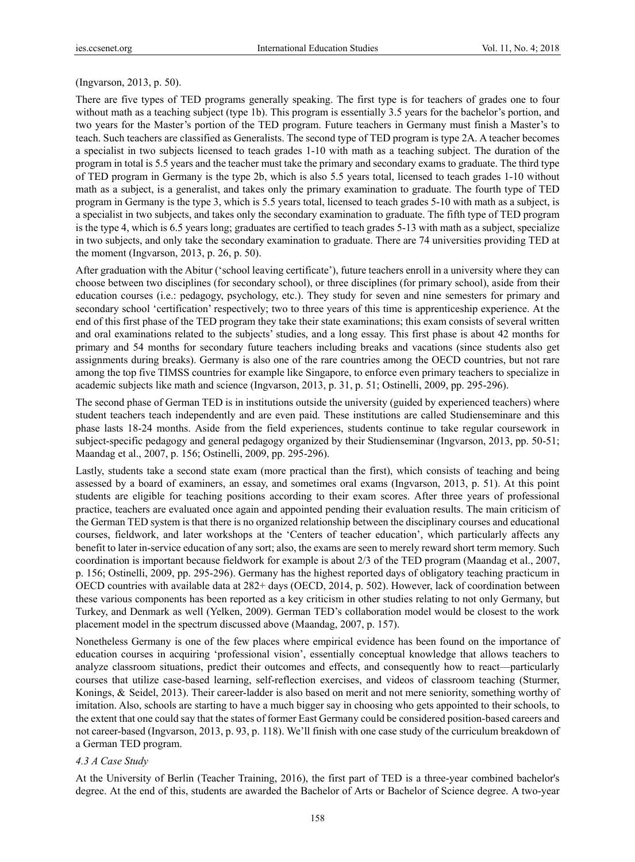### (Ingvarson, 2013, p. 50).

There are five types of TED programs generally speaking. The first type is for teachers of grades one to four without math as a teaching subject (type 1b). This program is essentially 3.5 years for the bachelor's portion, and two years for the Master's portion of the TED program. Future teachers in Germany must finish a Master's to teach. Such teachers are classified as Generalists. The second type of TED program is type 2A. A teacher becomes a specialist in two subjects licensed to teach grades 1-10 with math as a teaching subject. The duration of the program in total is 5.5 years and the teacher must take the primary and secondary exams to graduate. The third type of TED program in Germany is the type 2b, which is also 5.5 years total, licensed to teach grades 1-10 without math as a subject, is a generalist, and takes only the primary examination to graduate. The fourth type of TED program in Germany is the type 3, which is 5.5 years total, licensed to teach grades 5-10 with math as a subject, is a specialist in two subjects, and takes only the secondary examination to graduate. The fifth type of TED program is the type 4, which is 6.5 years long; graduates are certified to teach grades 5-13 with math as a subject, specialize in two subjects, and only take the secondary examination to graduate. There are 74 universities providing TED at the moment (Ingvarson, 2013, p. 26, p. 50).

After graduation with the Abitur ('school leaving certificate'), future teachers enroll in a university where they can choose between two disciplines (for secondary school), or three disciplines (for primary school), aside from their education courses (i.e.: pedagogy, psychology, etc.). They study for seven and nine semesters for primary and secondary school 'certification' respectively; two to three years of this time is apprenticeship experience. At the end of this first phase of the TED program they take their state examinations; this exam consists of several written and oral examinations related to the subjects' studies, and a long essay. This first phase is about 42 months for primary and 54 months for secondary future teachers including breaks and vacations (since students also get assignments during breaks). Germany is also one of the rare countries among the OECD countries, but not rare among the top five TIMSS countries for example like Singapore, to enforce even primary teachers to specialize in academic subjects like math and science (Ingvarson, 2013, p. 31, p. 51; Ostinelli, 2009, pp. 295-296).

The second phase of German TED is in institutions outside the university (guided by experienced teachers) where student teachers teach independently and are even paid. These institutions are called Studienseminare and this phase lasts 18-24 months. Aside from the field experiences, students continue to take regular coursework in subject-specific pedagogy and general pedagogy organized by their Studienseminar (Ingvarson, 2013, pp. 50-51; Maandag et al., 2007, p. 156; Ostinelli, 2009, pp. 295-296).

Lastly, students take a second state exam (more practical than the first), which consists of teaching and being assessed by a board of examiners, an essay, and sometimes oral exams (Ingvarson, 2013, p. 51). At this point students are eligible for teaching positions according to their exam scores. After three years of professional practice, teachers are evaluated once again and appointed pending their evaluation results. The main criticism of the German TED system is that there is no organized relationship between the disciplinary courses and educational courses, fieldwork, and later workshops at the 'Centers of teacher education', which particularly affects any benefit to later in-service education of any sort; also, the exams are seen to merely reward short term memory. Such coordination is important because fieldwork for example is about 2/3 of the TED program (Maandag et al., 2007, p. 156; Ostinelli, 2009, pp. 295-296). Germany has the highest reported days of obligatory teaching practicum in OECD countries with available data at 282+ days (OECD, 2014, p. 502). However, lack of coordination between these various components has been reported as a key criticism in other studies relating to not only Germany, but Turkey, and Denmark as well (Yelken, 2009). German TED's collaboration model would be closest to the work placement model in the spectrum discussed above (Maandag, 2007, p. 157).

Nonetheless Germany is one of the few places where empirical evidence has been found on the importance of education courses in acquiring 'professional vision', essentially conceptual knowledge that allows teachers to analyze classroom situations, predict their outcomes and effects, and consequently how to react—particularly courses that utilize case-based learning, self-reflection exercises, and videos of classroom teaching (Sturmer, Konings, & Seidel, 2013). Their career-ladder is also based on merit and not mere seniority, something worthy of imitation. Also, schools are starting to have a much bigger say in choosing who gets appointed to their schools, to the extent that one could say that the states of former East Germany could be considered position-based careers and not career-based (Ingvarson, 2013, p. 93, p. 118). We'll finish with one case study of the curriculum breakdown of a German TED program.

## *4.3 A Case Study*

At the University of Berlin (Teacher Training, 2016), the first part of TED is a three-year combined bachelor's degree. At the end of this, students are awarded the Bachelor of Arts or Bachelor of Science degree. A two-year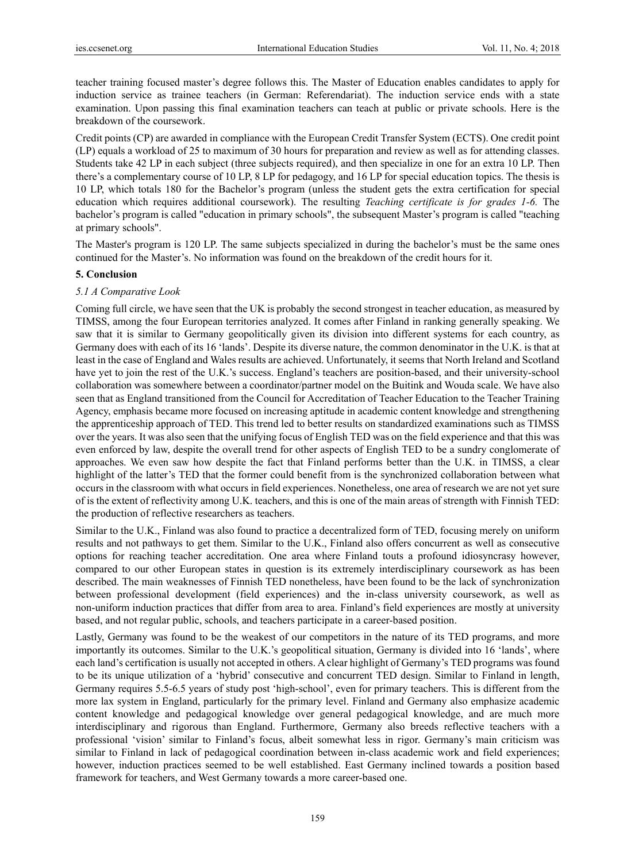teacher training focused master's degree follows this. The Master of Education enables candidates to apply for induction service as trainee teachers (in German: Referendariat). The induction service ends with a state examination. Upon passing this final examination teachers can teach at public or private schools. Here is the breakdown of the coursework.

Credit points (CP) are awarded in compliance with the European Credit Transfer System (ECTS). One credit point (LP) equals a workload of 25 to maximum of 30 hours for preparation and review as well as for attending classes. Students take 42 LP in each subject (three subjects required), and then specialize in one for an extra 10 LP. Then there's a complementary course of 10 LP, 8 LP for pedagogy, and 16 LP for special education topics. The thesis is 10 LP, which totals 180 for the Bachelor's program (unless the student gets the extra certification for special education which requires additional coursework). The resulting *Teaching certificate is for grades 1-6.* The bachelor's program is called "education in primary schools", the subsequent Master's program is called "teaching at primary schools".

The Master's program is 120 LP. The same subjects specialized in during the bachelor's must be the same ones continued for the Master's. No information was found on the breakdown of the credit hours for it.

### **5. Conclusion**

# *5.1 A Comparative Look*

Coming full circle, we have seen that the UK is probably the second strongest in teacher education, as measured by TIMSS, among the four European territories analyzed. It comes after Finland in ranking generally speaking. We saw that it is similar to Germany geopolitically given its division into different systems for each country, as Germany does with each of its 16 'lands'. Despite its diverse nature, the common denominator in the U.K. is that at least in the case of England and Wales results are achieved. Unfortunately, it seems that North Ireland and Scotland have yet to join the rest of the U.K.'s success. England's teachers are position-based, and their university-school collaboration was somewhere between a coordinator/partner model on the Buitink and Wouda scale. We have also seen that as England transitioned from the Council for Accreditation of Teacher Education to the Teacher Training Agency, emphasis became more focused on increasing aptitude in academic content knowledge and strengthening the apprenticeship approach of TED. This trend led to better results on standardized examinations such as TIMSS over the years. It was also seen that the unifying focus of English TED was on the field experience and that this was even enforced by law, despite the overall trend for other aspects of English TED to be a sundry conglomerate of approaches. We even saw how despite the fact that Finland performs better than the U.K. in TIMSS, a clear highlight of the latter's TED that the former could benefit from is the synchronized collaboration between what occurs in the classroom with what occurs in field experiences. Nonetheless, one area of research we are not yet sure of is the extent of reflectivity among U.K. teachers, and this is one of the main areas of strength with Finnish TED: the production of reflective researchers as teachers.

Similar to the U.K., Finland was also found to practice a decentralized form of TED, focusing merely on uniform results and not pathways to get them. Similar to the U.K., Finland also offers concurrent as well as consecutive options for reaching teacher accreditation. One area where Finland touts a profound idiosyncrasy however, compared to our other European states in question is its extremely interdisciplinary coursework as has been described. The main weaknesses of Finnish TED nonetheless, have been found to be the lack of synchronization between professional development (field experiences) and the in-class university coursework, as well as non-uniform induction practices that differ from area to area. Finland's field experiences are mostly at university based, and not regular public, schools, and teachers participate in a career-based position.

Lastly, Germany was found to be the weakest of our competitors in the nature of its TED programs, and more importantly its outcomes. Similar to the U.K.'s geopolitical situation, Germany is divided into 16 'lands', where each land's certification is usually not accepted in others. A clear highlight of Germany's TED programs was found to be its unique utilization of a 'hybrid' consecutive and concurrent TED design. Similar to Finland in length, Germany requires 5.5-6.5 years of study post 'high-school', even for primary teachers. This is different from the more lax system in England, particularly for the primary level. Finland and Germany also emphasize academic content knowledge and pedagogical knowledge over general pedagogical knowledge, and are much more interdisciplinary and rigorous than England. Furthermore, Germany also breeds reflective teachers with a professional 'vision' similar to Finland's focus, albeit somewhat less in rigor. Germany's main criticism was similar to Finland in lack of pedagogical coordination between in-class academic work and field experiences; however, induction practices seemed to be well established. East Germany inclined towards a position based framework for teachers, and West Germany towards a more career-based one.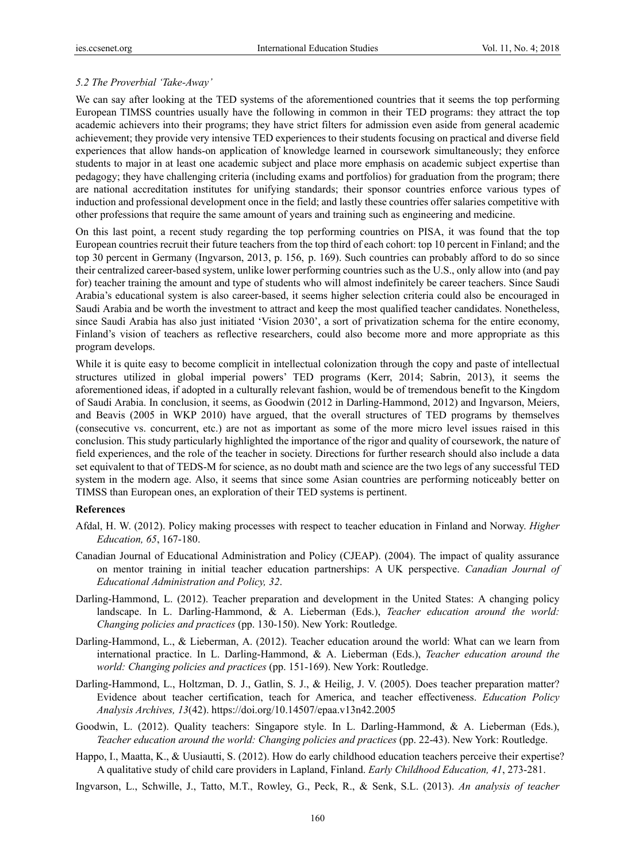### *5.2 The Proverbial 'Take-Away'*

We can say after looking at the TED systems of the aforementioned countries that it seems the top performing European TIMSS countries usually have the following in common in their TED programs: they attract the top academic achievers into their programs; they have strict filters for admission even aside from general academic achievement; they provide very intensive TED experiences to their students focusing on practical and diverse field experiences that allow hands-on application of knowledge learned in coursework simultaneously; they enforce students to major in at least one academic subject and place more emphasis on academic subject expertise than pedagogy; they have challenging criteria (including exams and portfolios) for graduation from the program; there are national accreditation institutes for unifying standards; their sponsor countries enforce various types of induction and professional development once in the field; and lastly these countries offer salaries competitive with other professions that require the same amount of years and training such as engineering and medicine.

On this last point, a recent study regarding the top performing countries on PISA, it was found that the top European countries recruit their future teachers from the top third of each cohort: top 10 percent in Finland; and the top 30 percent in Germany (Ingvarson, 2013, p. 156, p. 169). Such countries can probably afford to do so since their centralized career-based system, unlike lower performing countries such as the U.S., only allow into (and pay for) teacher training the amount and type of students who will almost indefinitely be career teachers. Since Saudi Arabia's educational system is also career-based, it seems higher selection criteria could also be encouraged in Saudi Arabia and be worth the investment to attract and keep the most qualified teacher candidates. Nonetheless, since Saudi Arabia has also just initiated 'Vision 2030', a sort of privatization schema for the entire economy, Finland's vision of teachers as reflective researchers, could also become more and more appropriate as this program develops.

While it is quite easy to become complicit in intellectual colonization through the copy and paste of intellectual structures utilized in global imperial powers' TED programs (Kerr, 2014; Sabrin, 2013), it seems the aforementioned ideas, if adopted in a culturally relevant fashion, would be of tremendous benefit to the Kingdom of Saudi Arabia. In conclusion, it seems, as Goodwin (2012 in Darling-Hammond, 2012) and Ingvarson, Meiers, and Beavis (2005 in WKP 2010) have argued, that the overall structures of TED programs by themselves (consecutive vs. concurrent, etc.) are not as important as some of the more micro level issues raised in this conclusion. This study particularly highlighted the importance of the rigor and quality of coursework, the nature of field experiences, and the role of the teacher in society. Directions for further research should also include a data set equivalent to that of TEDS-M for science, as no doubt math and science are the two legs of any successful TED system in the modern age. Also, it seems that since some Asian countries are performing noticeably better on TIMSS than European ones, an exploration of their TED systems is pertinent.

#### **References**

- Afdal, H. W. (2012). Policy making processes with respect to teacher education in Finland and Norway. *Higher Education, 65*, 167-180.
- Canadian Journal of Educational Administration and Policy (CJEAP). (2004). The impact of quality assurance on mentor training in initial teacher education partnerships: A UK perspective. *Canadian Journal of Educational Administration and Policy, 32*.
- Darling-Hammond, L. (2012). Teacher preparation and development in the United States: A changing policy landscape. In L. Darling-Hammond, & A. Lieberman (Eds.), *Teacher education around the world: Changing policies and practices* (pp. 130-150). New York: Routledge.
- Darling-Hammond, L., & Lieberman, A. (2012). Teacher education around the world: What can we learn from international practice. In L. Darling-Hammond, & A. Lieberman (Eds.), *Teacher education around the world: Changing policies and practices* (pp. 151-169). New York: Routledge.
- Darling-Hammond, L., Holtzman, D. J., Gatlin, S. J., & Heilig, J. V. (2005). Does teacher preparation matter? Evidence about teacher certification, teach for America, and teacher effectiveness. *Education Policy Analysis Archives, 13*(42). https://doi.org/10.14507/epaa.v13n42.2005
- Goodwin, L. (2012). Quality teachers: Singapore style. In L. Darling-Hammond, & A. Lieberman (Eds.), *Teacher education around the world: Changing policies and practices* (pp. 22-43). New York: Routledge.
- Happo, I., Maatta, K., & Uusiautti, S. (2012). How do early childhood education teachers perceive their expertise? A qualitative study of child care providers in Lapland, Finland. *Early Childhood Education, 41*, 273-281.
- Ingvarson, L., Schwille, J., Tatto, M.T., Rowley, G., Peck, R., & Senk, S.L. (2013). *An analysis of teacher*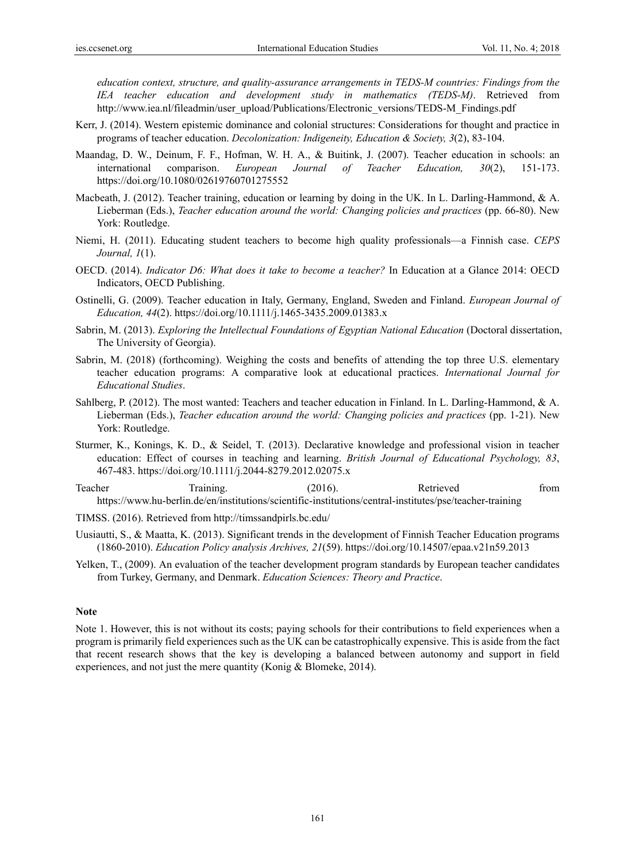*education context, structure, and quality-assurance arrangements in TEDS-M countries: Findings from the IEA teacher education and development study in mathematics (TEDS-M)*. Retrieved from http://www.iea.nl/fileadmin/user\_upload/Publications/Electronic\_versions/TEDS-M\_Findings.pdf

- Kerr, J. (2014). Western epistemic dominance and colonial structures: Considerations for thought and practice in programs of teacher education. *Decolonization: Indigeneity, Education & Society, 3*(2), 83-104.
- Maandag, D. W., Deinum, F. F., Hofman, W. H. A., & Buitink, J. (2007). Teacher education in schools: an international comparison. *European Journal of Teacher Education, 30*(2), 151-173. https://doi.org/10.1080/02619760701275552
- Macbeath, J. (2012). Teacher training, education or learning by doing in the UK. In L. Darling-Hammond, & A. Lieberman (Eds.), *Teacher education around the world: Changing policies and practices* (pp. 66-80). New York: Routledge.
- Niemi, H. (2011). Educating student teachers to become high quality professionals—a Finnish case. *CEPS Journal, 1*(1).
- OECD. (2014). *Indicator D6: What does it take to become a teacher?* In Education at a Glance 2014: OECD Indicators, OECD Publishing.
- Ostinelli, G. (2009). Teacher education in Italy, Germany, England, Sweden and Finland. *European Journal of Education, 44*(2). https://doi.org/10.1111/j.1465-3435.2009.01383.x
- Sabrin, M. (2013). *Exploring the Intellectual Foundations of Egyptian National Education* (Doctoral dissertation, The University of Georgia).
- Sabrin, M. (2018) (forthcoming). Weighing the costs and benefits of attending the top three U.S. elementary teacher education programs: A comparative look at educational practices. *International Journal for Educational Studies*.
- Sahlberg, P. (2012). The most wanted: Teachers and teacher education in Finland. In L. Darling-Hammond, & A. Lieberman (Eds.), *Teacher education around the world: Changing policies and practices* (pp. 1-21). New York: Routledge.
- Sturmer, K., Konings, K. D., & Seidel, T. (2013). Declarative knowledge and professional vision in teacher education: Effect of courses in teaching and learning. *British Journal of Educational Psychology, 83*, 467-483. https://doi.org/10.1111/j.2044-8279.2012.02075.x
- Training. Training. (2016). Retrieved from Fractional Control of the Retrieved from Training. https://www.hu-berlin.de/en/institutions/scientific-institutions/central-institutes/pse/teacher-training

TIMSS. (2016). Retrieved from http://timssandpirls.bc.edu/

- Uusiautti, S., & Maatta, K. (2013). Significant trends in the development of Finnish Teacher Education programs (1860-2010). *Education Policy analysis Archives, 21*(59). https://doi.org/10.14507/epaa.v21n59.2013
- Yelken, T., (2009). An evaluation of the teacher development program standards by European teacher candidates from Turkey, Germany, and Denmark. *Education Sciences: Theory and Practice*.

### **Note**

Note 1. However, this is not without its costs; paying schools for their contributions to field experiences when a program is primarily field experiences such as the UK can be catastrophically expensive. This is aside from the fact that recent research shows that the key is developing a balanced between autonomy and support in field experiences, and not just the mere quantity (Konig & Blomeke, 2014).